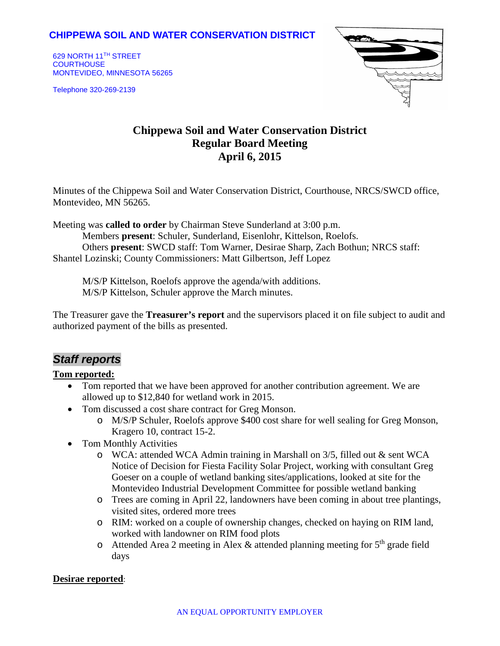## **CHIPPEWA SOIL AND WATER CONSERVATION DISTRICT**

629 NORTH 11TH STREET **COURTHOUSE** MONTEVIDEO, MINNESOTA 56265

Telephone 320-269-2139



# **Chippewa Soil and Water Conservation District Regular Board Meeting April 6, 2015**

Minutes of the Chippewa Soil and Water Conservation District, Courthouse, NRCS/SWCD office, Montevideo, MN 56265.

Meeting was **called to order** by Chairman Steve Sunderland at 3:00 p.m.

Members **present**: Schuler, Sunderland, Eisenlohr, Kittelson, Roelofs. Others **present**: SWCD staff: Tom Warner, Desirae Sharp, Zach Bothun; NRCS staff: Shantel Lozinski; County Commissioners: Matt Gilbertson, Jeff Lopez

M/S/P Kittelson, Roelofs approve the agenda/with additions. M/S/P Kittelson, Schuler approve the March minutes.

The Treasurer gave the **Treasurer's report** and the supervisors placed it on file subject to audit and authorized payment of the bills as presented.

## *Staff reports*

#### **Tom reported:**

- Tom reported that we have been approved for another contribution agreement. We are allowed up to \$12,840 for wetland work in 2015.
- Tom discussed a cost share contract for Greg Monson.
	- o M/S/P Schuler, Roelofs approve \$400 cost share for well sealing for Greg Monson, Kragero 10, contract 15-2.
- Tom Monthly Activities
	- o WCA: attended WCA Admin training in Marshall on 3/5, filled out & sent WCA Notice of Decision for Fiesta Facility Solar Project, working with consultant Greg Goeser on a couple of wetland banking sites/applications, looked at site for the Montevideo Industrial Development Committee for possible wetland banking
	- o Trees are coming in April 22, landowners have been coming in about tree plantings, visited sites, ordered more trees
	- o RIM: worked on a couple of ownership changes, checked on haying on RIM land, worked with landowner on RIM food plots
	- o Attended Area 2 meeting in Alex & attended planning meeting for  $5<sup>th</sup>$  grade field days

#### **Desirae reported**: